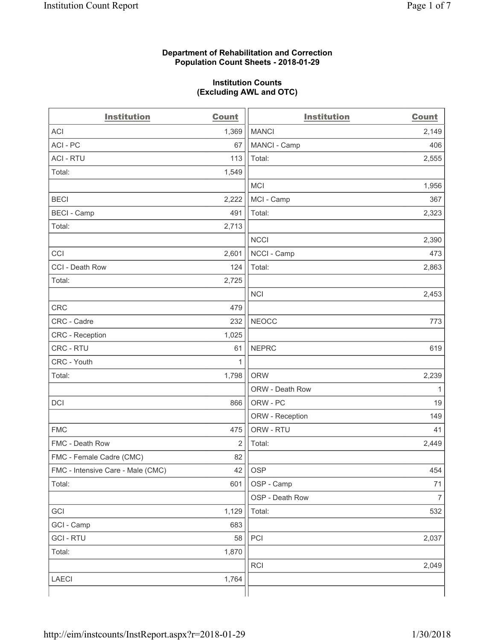#### **Department of Rehabilitation and Correction Population Count Sheets - 2018-01-29**

#### **Institution Counts (Excluding AWL and OTC)**

| <b>Institution</b>                | <b>Count</b>   | <b>Institution</b> | <b>Count</b>   |
|-----------------------------------|----------------|--------------------|----------------|
| <b>ACI</b>                        | 1,369          | <b>MANCI</b>       | 2,149          |
| ACI-PC                            | 67             | MANCI - Camp       | 406            |
| <b>ACI - RTU</b>                  | 113            | Total:             | 2,555          |
| Total:                            | 1,549          |                    |                |
|                                   |                | <b>MCI</b>         | 1,956          |
| <b>BECI</b>                       | 2,222          | MCI - Camp         | 367            |
| <b>BECI</b> - Camp                | 491            | Total:             | 2,323          |
| Total:                            | 2,713          |                    |                |
|                                   |                | <b>NCCI</b>        | 2,390          |
| CCI                               | 2,601          | NCCI - Camp        | 473            |
| CCI - Death Row                   | 124            | Total:             | 2,863          |
| Total:                            | 2,725          |                    |                |
|                                   |                | <b>NCI</b>         | 2,453          |
| <b>CRC</b>                        | 479            |                    |                |
| CRC - Cadre                       | 232            | <b>NEOCC</b>       | 773            |
| CRC - Reception                   | 1,025          |                    |                |
| CRC - RTU                         | 61             | <b>NEPRC</b>       | 619            |
| CRC - Youth                       | 1              |                    |                |
| Total:                            | 1,798          | <b>ORW</b>         | 2,239          |
|                                   |                | ORW - Death Row    | 1              |
| DCI                               | 866            | ORW - PC           | 19             |
|                                   |                | ORW - Reception    | 149            |
| <b>FMC</b>                        | 475            | ORW - RTU          | 41             |
| FMC - Death Row                   | $\overline{2}$ | Total:             | 2,449          |
| FMC - Female Cadre (CMC)          | 82             |                    |                |
| FMC - Intensive Care - Male (CMC) | 42             | <b>OSP</b>         | 454            |
| Total:                            | 601            | OSP - Camp         | 71             |
|                                   |                | OSP - Death Row    | $\overline{7}$ |
| GCI                               | 1,129          | Total:             | 532            |
| GCI - Camp                        | 683            |                    |                |
| <b>GCI-RTU</b>                    | 58             | PCI                | 2,037          |
| Total:                            | 1,870          |                    |                |
|                                   |                | RCI                | 2,049          |
| <b>LAECI</b>                      | 1,764          |                    |                |
|                                   |                |                    |                |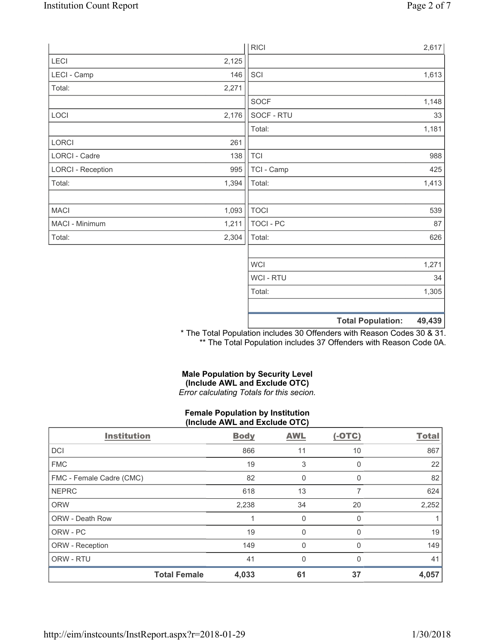|                          |       | <b>RICI</b> | 2,617                              |
|--------------------------|-------|-------------|------------------------------------|
| LECI                     | 2,125 |             |                                    |
| LECI - Camp              | 146   | SCI         | 1,613                              |
| Total:                   | 2,271 |             |                                    |
|                          |       | SOCF        | 1,148                              |
| LOCI                     | 2,176 | SOCF - RTU  | 33                                 |
|                          |       | Total:      | 1,181                              |
| LORCI                    | 261   |             |                                    |
| <b>LORCI - Cadre</b>     | 138   | <b>TCI</b>  | 988                                |
| <b>LORCI - Reception</b> | 995   | TCI - Camp  | 425                                |
| Total:                   | 1,394 | Total:      | 1,413                              |
|                          |       |             |                                    |
| <b>MACI</b>              | 1,093 | <b>TOCI</b> | 539                                |
| MACI - Minimum           | 1,211 | TOCI - PC   | 87                                 |
| Total:                   | 2,304 | Total:      | 626                                |
|                          |       |             |                                    |
|                          |       | <b>WCI</b>  | 1,271                              |
|                          |       | WCI - RTU   | 34                                 |
|                          |       | Total:      | 1,305                              |
|                          |       |             |                                    |
|                          |       |             | <b>Total Population:</b><br>49,439 |

\* The Total Population includes 30 Offenders with Reason Codes 30 & 31. \*\* The Total Population includes 37 Offenders with Reason Code 0A.

## **Male Population by Security Level (Include AWL and Exclude OTC)**  *Error calculating Totals for this secion.*

#### **Female Population by Institution (Include AWL and Exclude OTC)**

| <b>Institution</b>       | <b>Body</b> | <b>AWL</b>   | $(-OTC)$ | <b>Total</b> |
|--------------------------|-------------|--------------|----------|--------------|
| <b>DCI</b>               | 866         | 11           | 10       | 867          |
| <b>FMC</b>               | 19          | 3            | O        | 22           |
| FMC - Female Cadre (CMC) | 82          | 0            | 0        | 82           |
| <b>NEPRC</b>             | 618         | 13           |          | 624          |
| <b>ORW</b>               | 2,238       | 34           | 20       | 2,252        |
| <b>ORW - Death Row</b>   |             | 0            | O        |              |
| ORW - PC                 | 19          | 0            | 0        | 19           |
| ORW - Reception          | 149         | $\mathbf{0}$ |          | 149          |
| ORW - RTU                | 41          | $\mathbf{0}$ | 0        | 41           |
| <b>Total Female</b>      | 4,033       | 61           | 37       | 4,057        |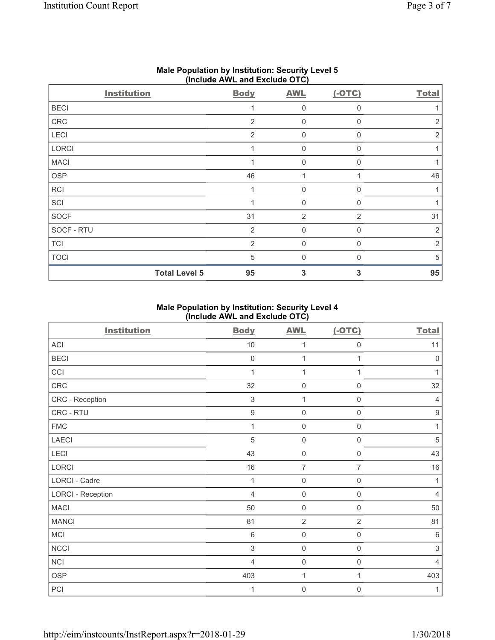| $\cdots$<br><b>Institution</b> | <b>Body</b>    | .<br><b>AWL</b> | $(-OTC)$       | <b>Total</b> |
|--------------------------------|----------------|-----------------|----------------|--------------|
| <b>BECI</b>                    |                | 0               | 0              |              |
| CRC                            | 2              | $\mathbf 0$     | $\Omega$       | 2            |
| LECI                           | 2              | $\mathsf 0$     | $\Omega$       | 2            |
| LORCI                          | 1              | $\mathsf 0$     | $\Omega$       |              |
| <b>MACI</b>                    |                | $\mathsf 0$     | $\Omega$       |              |
| OSP                            | 46             | 1               | 1              | 46           |
| RCI                            | $\mathbf{1}$   | $\mathsf 0$     | $\mathbf 0$    |              |
| SCI                            |                | 0               | $\mathbf{0}$   |              |
| SOCF                           | 31             | $\overline{2}$  | $\overline{2}$ | 31           |
| SOCF - RTU                     | $\overline{2}$ | $\mathsf 0$     | $\Omega$       | 2            |
| <b>TCI</b>                     | $\overline{2}$ | $\mathsf 0$     | $\Omega$       | 2            |
| <b>TOCI</b>                    | $\sqrt{5}$     | $\mathbf 0$     | $\Omega$       | 5            |
| <b>Total Level 5</b>           | 95             | 3               | 3              | 95           |

## **Male Population by Institution: Security Level 5 (Include AWL and Exclude OTC)**

# **Male Population by Institution: Security Level 4 (Include AWL and Exclude OTC)**

| <b>Institution</b>       | <b>Body</b>      | <b>AWL</b>          | $(-OTC)$            | <b>Total</b>        |
|--------------------------|------------------|---------------------|---------------------|---------------------|
| ACI                      | $10$             | 1                   | $\mathbf 0$         | 11                  |
| <b>BECI</b>              | $\mathbf 0$      | 1                   | 1                   | $\mathsf{O}\xspace$ |
| CCI                      | 1                | $\mathbf{1}$        | 1                   | 1                   |
| CRC                      | 32               | $\mathsf{O}\xspace$ | 0                   | 32                  |
| CRC - Reception          | 3                | $\mathbf{1}$        | 0                   | 4                   |
| CRC - RTU                | $\boldsymbol{9}$ | $\mathbf 0$         | $\mathsf{O}\xspace$ | $\boldsymbol{9}$    |
| <b>FMC</b>               | 1                | $\mathbf 0$         | $\mathbf 0$         | 1                   |
| LAECI                    | $\sqrt{5}$       | $\mathsf{O}\xspace$ | $\mathbf 0$         | $\sqrt{5}$          |
| LECI                     | 43               | $\mathbf 0$         | $\mathbf 0$         | 43                  |
| LORCI                    | 16               | $\overline{7}$      | $\overline{7}$      | 16                  |
| LORCI - Cadre            | 1                | $\mathsf{O}\xspace$ | $\mathbf 0$         | 1                   |
| <b>LORCI - Reception</b> | $\overline{4}$   | $\mathsf{O}\xspace$ | $\mathbf 0$         | 4                   |
| <b>MACI</b>              | 50               | $\mathbf 0$         | $\mathbf 0$         | 50                  |
| <b>MANCI</b>             | 81               | $\overline{2}$      | $\overline{2}$      | 81                  |
| <b>MCI</b>               | $6\phantom{1}6$  | $\mathbf 0$         | 0                   | 6                   |
| <b>NCCI</b>              | $\mathfrak{S}$   | $\mathsf{O}\xspace$ | $\mathbf 0$         | $\sqrt{3}$          |
| <b>NCI</b>               | $\overline{4}$   | $\mathsf{O}\xspace$ | $\mathsf{O}\xspace$ | $\overline{4}$      |
| <b>OSP</b>               | 403              | $\mathbf{1}$        | 1                   | 403                 |
| PCI                      | 1                | $\mathbf 0$         | 0                   | 1                   |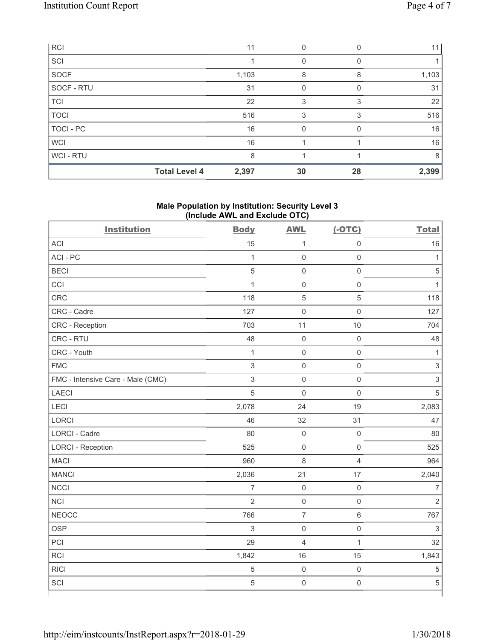| <b>RCI</b>     |                      | 11    |    |          | 11    |
|----------------|----------------------|-------|----|----------|-------|
| SCI            |                      |       | 0  | $\Omega$ |       |
| <b>SOCF</b>    |                      | 1,103 | 8  | 8        | 1,103 |
| SOCF - RTU     |                      | 31    |    |          | 31    |
| <b>TCI</b>     |                      | 22    | 3  | 3        | 22    |
| <b>TOCI</b>    |                      | 516   | 3  | 3        | 516   |
| TOCI - PC      |                      | 16    |    |          | 16    |
| <b>WCI</b>     |                      | 16    |    |          | 16    |
| <b>WCI-RTU</b> |                      | 8     |    |          | 8     |
|                | <b>Total Level 4</b> | 2,397 | 30 | 28       | 2,399 |

## **Male Population by Institution: Security Level 3 (Include AWL and Exclude OTC)**

| <b>Institution</b>                | <b>Body</b>    | <b>AWL</b>          | $(-OTC)$            | <b>Total</b>              |
|-----------------------------------|----------------|---------------------|---------------------|---------------------------|
| <b>ACI</b>                        | 15             | $\mathbf{1}$        | $\mathsf 0$         | 16                        |
| ACI-PC                            | $\mathbf{1}$   | $\mathsf{O}\xspace$ | $\mathsf 0$         | $\mathbf{1}$              |
| <b>BECI</b>                       | $\sqrt{5}$     | $\mathsf{O}\xspace$ | $\mathsf 0$         | $\,$ 5 $\,$               |
| CCI                               | $\mathbf{1}$   | $\mathbf 0$         | $\mathsf{O}\xspace$ | $\mathbf{1}$              |
| CRC                               | 118            | $\sqrt{5}$          | $\sqrt{5}$          | 118                       |
| CRC - Cadre                       | 127            | $\mathsf{O}\xspace$ | $\mathsf 0$         | 127                       |
| CRC - Reception                   | 703            | 11                  | 10                  | 704                       |
| CRC - RTU                         | 48             | $\mathsf{O}\xspace$ | $\mathsf 0$         | 48                        |
| CRC - Youth                       | $\mathbf{1}$   | $\mathbf 0$         | $\mathbf 0$         | $\mathbf{1}$              |
| <b>FMC</b>                        | 3              | $\mathsf{O}\xspace$ | $\mathsf 0$         | $\ensuremath{\mathsf{3}}$ |
| FMC - Intensive Care - Male (CMC) | $\mathsf 3$    | $\mathsf{O}\xspace$ | $\mathsf 0$         | $\mathsf 3$               |
| <b>LAECI</b>                      | 5              | $\mathbf 0$         | $\mathbf 0$         | 5                         |
| LECI                              | 2,078          | 24                  | 19                  | 2,083                     |
| LORCI                             | 46             | 32                  | 31                  | 47                        |
| LORCI - Cadre                     | 80             | $\mathsf 0$         | $\mathsf 0$         | 80                        |
| <b>LORCI - Reception</b>          | 525            | $\mathsf{O}\xspace$ | $\mathsf 0$         | 525                       |
| <b>MACI</b>                       | 960            | 8                   | $\overline{4}$      | 964                       |
| <b>MANCI</b>                      | 2,036          | 21                  | 17                  | 2,040                     |
| <b>NCCI</b>                       | $\overline{7}$ | $\mathsf{O}\xspace$ | $\mathsf 0$         | $\overline{7}$            |
| <b>NCI</b>                        | $\overline{2}$ | $\mathbf 0$         | $\mathsf 0$         | $\overline{2}$            |
| <b>NEOCC</b>                      | 766            | $\overline{7}$      | $6\,$               | 767                       |
| <b>OSP</b>                        | $\mathfrak{Z}$ | $\mathsf{O}\xspace$ | $\mathsf 0$         | $\mathsf 3$               |
| PCI                               | 29             | $\overline{4}$      | $\mathbf{1}$        | 32                        |
| RCI                               | 1,842          | 16                  | 15                  | 1,843                     |
| <b>RICI</b>                       | 5              | $\mathbf 0$         | $\mathbf 0$         | $\sqrt{5}$                |
| SCI                               | $\overline{5}$ | $\mathsf{O}\xspace$ | $\mathsf 0$         | $\sqrt{5}$                |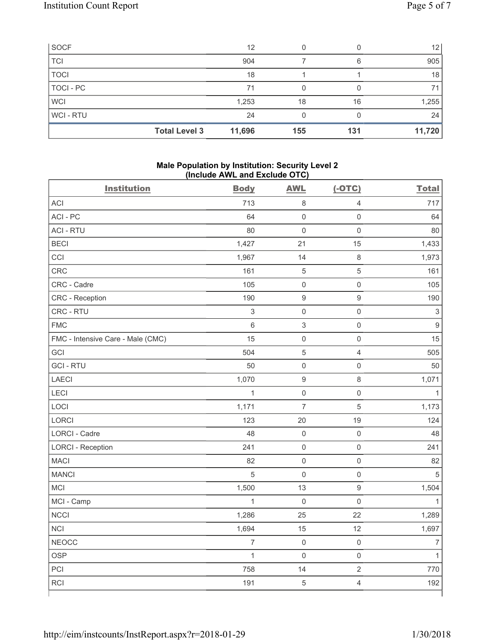| <b>SOCF</b>    |                      | 12     | 0   |     | 12 <sub>1</sub> |
|----------------|----------------------|--------|-----|-----|-----------------|
| <b>TCI</b>     |                      | 904    |     | 6   | 905             |
| <b>TOCI</b>    |                      | 18     |     |     | 18              |
| TOCI - PC      |                      | 71     |     |     | 71              |
| <b>WCI</b>     |                      | 1,253  | 18  | 16  | 1,255           |
| <b>WCI-RTU</b> |                      | 24     |     |     | 24              |
|                | <b>Total Level 3</b> | 11,696 | 155 | 131 | 11,720          |

#### **Male Population by Institution: Security Level 2 (Include AWL and Exclude OTC)**

| <b>Institution</b>                | <b>Body</b>    | <b>AWL</b>          | $(-OTC)$            | <b>Total</b>   |
|-----------------------------------|----------------|---------------------|---------------------|----------------|
| <b>ACI</b>                        | 713            | $\,8\,$             | $\overline{4}$      | 717            |
| ACI-PC                            | 64             | $\mathbf 0$         | $\mathbf 0$         | 64             |
| <b>ACI - RTU</b>                  | 80             | $\mathbf 0$         | $\mathbf 0$         | 80             |
| <b>BECI</b>                       | 1,427          | 21                  | 15                  | 1,433          |
| CCI                               | 1,967          | 14                  | $\,8\,$             | 1,973          |
| CRC                               | 161            | $\sqrt{5}$          | $\sqrt{5}$          | 161            |
| CRC - Cadre                       | 105            | $\mathsf{O}\xspace$ | $\mathbf 0$         | 105            |
| CRC - Reception                   | 190            | $\boldsymbol{9}$    | $\boldsymbol{9}$    | 190            |
| CRC - RTU                         | $\mathsf 3$    | $\mathsf 0$         | $\mathsf{O}\xspace$ | $\sqrt{3}$     |
| <b>FMC</b>                        | $\,6\,$        | $\mathsf 3$         | $\mathsf 0$         | $\mathsf g$    |
| FMC - Intensive Care - Male (CMC) | 15             | $\mathsf{O}\xspace$ | $\mathsf{O}\xspace$ | 15             |
| GCI                               | 504            | 5                   | $\overline{4}$      | 505            |
| <b>GCI-RTU</b>                    | 50             | $\mathsf{O}\xspace$ | $\mathsf 0$         | 50             |
| LAECI                             | 1,070          | $\boldsymbol{9}$    | $\,8\,$             | 1,071          |
| LECI                              | $\mathbf{1}$   | $\mathsf{O}\xspace$ | $\mathsf 0$         | 1              |
| LOCI                              | 1,171          | $\overline{7}$      | $\sqrt{5}$          | 1,173          |
| <b>LORCI</b>                      | 123            | 20                  | 19                  | 124            |
| <b>LORCI - Cadre</b>              | 48             | $\mathsf{O}\xspace$ | $\mathsf 0$         | 48             |
| <b>LORCI - Reception</b>          | 241            | $\mathsf{O}\xspace$ | $\mathbf 0$         | 241            |
| <b>MACI</b>                       | 82             | $\mathsf{O}\xspace$ | $\mathsf{O}\xspace$ | 82             |
| <b>MANCI</b>                      | 5              | $\mathsf{O}\xspace$ | $\mathsf 0$         | $\overline{5}$ |
| <b>MCI</b>                        | 1,500          | 13                  | $\boldsymbol{9}$    | 1,504          |
| MCI - Camp                        | $\mathbf{1}$   | $\mathbf 0$         | $\mathbf 0$         | $\mathbf{1}$   |
| NCCI                              | 1,286          | 25                  | 22                  | 1,289          |
| <b>NCI</b>                        | 1,694          | 15                  | 12                  | 1,697          |
| <b>NEOCC</b>                      | $\overline{7}$ | $\mathsf{O}\xspace$ | $\mathsf{O}\xspace$ | $\overline{7}$ |
| <b>OSP</b>                        | $\mathbf{1}$   | $\mathsf{O}\xspace$ | $\mathsf 0$         | $\mathbf{1}$   |
| PCI                               | 758            | 14                  | $\sqrt{2}$          | 770            |
| <b>RCI</b>                        | 191            | $\sqrt{5}$          | $\overline{4}$      | 192            |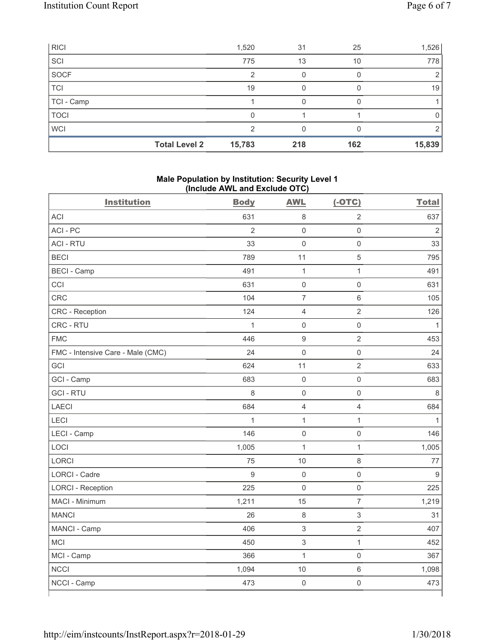| <b>RICI</b> |                      | 1,520  | 31  | 25  | 1,526  |
|-------------|----------------------|--------|-----|-----|--------|
| SCI         |                      | 775    | 13  | 10  | 778    |
| SOCF        |                      | っ      |     |     | 2      |
| <b>TCI</b>  |                      | 19     |     |     | 19     |
| TCI - Camp  |                      |        |     |     |        |
| <b>TOCI</b> |                      | 0      |     |     | 0      |
| <b>WCI</b>  |                      | 2      |     |     |        |
|             | <b>Total Level 2</b> | 15,783 | 218 | 162 | 15,839 |

## **Male Population by Institution: Security Level 1 (Include AWL and Exclude OTC)**

| <b>Institution</b>                | <b>Body</b>    | <b>AWL</b>                | $(-OTC)$            | <b>Total</b>   |
|-----------------------------------|----------------|---------------------------|---------------------|----------------|
| ACI                               | 631            | 8                         | $\overline{2}$      | 637            |
| ACI-PC                            | $\overline{2}$ | $\mathbf 0$               | $\mathsf{O}\xspace$ | $\overline{2}$ |
| <b>ACI - RTU</b>                  | 33             | $\mathbf 0$               | $\mathsf{O}\xspace$ | 33             |
| <b>BECI</b>                       | 789            | 11                        | $\,$ 5 $\,$         | 795            |
| <b>BECI - Camp</b>                | 491            | $\mathbf 1$               | $\mathbf{1}$        | 491            |
| CCI                               | 631            | $\mathbf 0$               | $\mathsf 0$         | 631            |
| <b>CRC</b>                        | 104            | $\overline{7}$            | $\,6\,$             | 105            |
| <b>CRC</b> - Reception            | 124            | $\overline{4}$            | $\overline{2}$      | 126            |
| CRC - RTU                         | $\mathbf 1$    | $\mathsf{O}\xspace$       | $\mathsf{O}\xspace$ | $\mathbf{1}$   |
| <b>FMC</b>                        | 446            | $9$                       | $\overline{2}$      | 453            |
| FMC - Intensive Care - Male (CMC) | 24             | $\mathsf{O}\xspace$       | $\mathsf{O}\xspace$ | 24             |
| GCI                               | 624            | 11                        | $\sqrt{2}$          | 633            |
| GCI - Camp                        | 683            | $\mathbf 0$               | $\mathsf{O}\xspace$ | 683            |
| <b>GCI-RTU</b>                    | 8              | $\mathbf 0$               | $\mathsf{O}\xspace$ | 8              |
| <b>LAECI</b>                      | 684            | $\overline{4}$            | $\overline{4}$      | 684            |
| LECI                              | $\overline{1}$ | $\overline{1}$            | $\mathbf{1}$        | $\mathbf{1}$   |
| LECI - Camp                       | 146            | $\mathsf{O}\xspace$       | $\mathsf{O}\xspace$ | 146            |
| LOCI                              | 1,005          | $\mathbf 1$               | $\mathbf{1}$        | 1,005          |
| LORCI                             | 75             | 10                        | 8                   | 77             |
| <b>LORCI - Cadre</b>              | $\mathsf g$    | $\mathbf 0$               | $\mathsf{O}\xspace$ | $\overline{9}$ |
| <b>LORCI - Reception</b>          | 225            | $\mathbf 0$               | $\mathsf{O}\xspace$ | 225            |
| MACI - Minimum                    | 1,211          | 15                        | $\overline{7}$      | 1,219          |
| <b>MANCI</b>                      | 26             | $\,8\,$                   | $\sqrt{3}$          | 31             |
| MANCI - Camp                      | 406            | $\ensuremath{\mathsf{3}}$ | $\sqrt{2}$          | 407            |
| <b>MCI</b>                        | 450            | $\,$ 3 $\,$               | $\mathbf{1}$        | 452            |
| MCI - Camp                        | 366            | $\mathbf{1}$              | $\mathsf{O}\xspace$ | 367            |
| <b>NCCI</b>                       | 1,094          | 10                        | $6\,$               | 1,098          |
| NCCI - Camp                       | 473            | $\mathsf{O}\xspace$       | $\mathsf{O}\xspace$ | 473            |